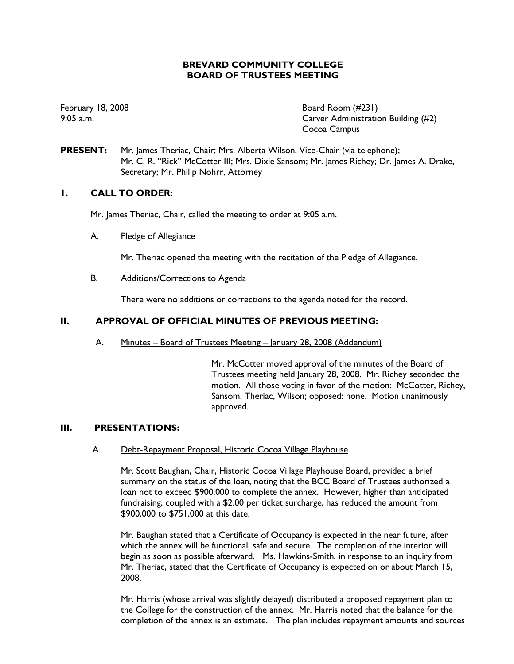# **BREVARD COMMUNITY COLLEGE BOARD OF TRUSTEES MEETING**

February 18, 2008 **Board Room** (#231) 9:05 a.m. Carver Administration Building (#2) Cocoa Campus

**PRESENT:** Mr. James Theriac, Chair; Mrs. Alberta Wilson, Vice-Chair (via telephone); Mr. C. R. "Rick" McCotter III; Mrs. Dixie Sansom; Mr. James Richey; Dr. James A. Drake, Secretary; Mr. Philip Nohrr, Attorney

# **1. CALL TO ORDER:**

Mr. James Theriac, Chair, called the meeting to order at 9:05 a.m.

A. Pledge of Allegiance

Mr. Theriac opened the meeting with the recitation of the Pledge of Allegiance.

B. Additions/Corrections to Agenda

There were no additions or corrections to the agenda noted for the record.

### **II. APPROVAL OF OFFICIAL MINUTES OF PREVIOUS MEETING:**

A. Minutes – Board of Trustees Meeting – January 28, 2008 (Addendum)

Mr. McCotter moved approval of the minutes of the Board of Trustees meeting held January 28, 2008. Mr. Richey seconded the motion. All those voting in favor of the motion: McCotter, Richey, Sansom, Theriac, Wilson; opposed: none. Motion unanimously approved.

### **III. PRESENTATIONS:**

#### A. Debt-Repayment Proposal, Historic Cocoa Village Playhouse

Mr. Scott Baughan, Chair, Historic Cocoa Village Playhouse Board, provided a brief summary on the status of the loan, noting that the BCC Board of Trustees authorized a loan not to exceed \$900,000 to complete the annex. However, higher than anticipated fundraising, coupled with a \$2.00 per ticket surcharge, has reduced the amount from \$900,000 to \$751,000 at this date.

Mr. Baughan stated that a Certificate of Occupancy is expected in the near future, after which the annex will be functional, safe and secure. The completion of the interior will begin as soon as possible afterward. Ms. Hawkins-Smith, in response to an inquiry from Mr. Theriac, stated that the Certificate of Occupancy is expected on or about March 15, 2008.

Mr. Harris (whose arrival was slightly delayed) distributed a proposed repayment plan to the College for the construction of the annex. Mr. Harris noted that the balance for the completion of the annex is an estimate. The plan includes repayment amounts and sources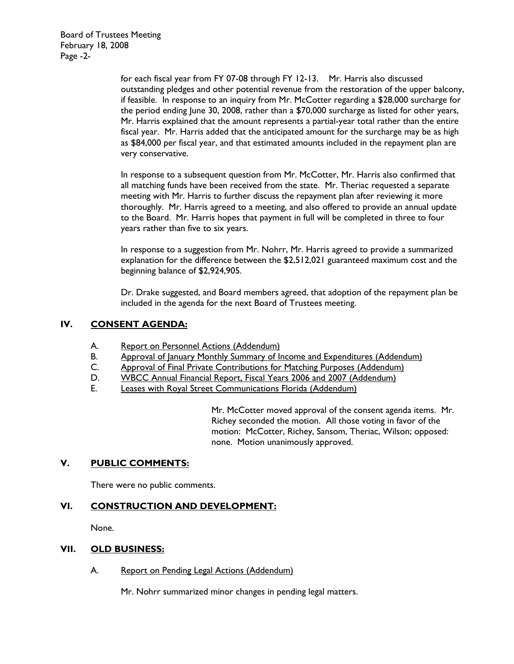Board of Trustees Meeting February 18, 2008 Page -2-

> for each fiscal year from FY 07-08 through FY 12-13. Mr. Harris also discussed outstanding pledges and other potential revenue from the restoration of the upper balcony, if feasible. In response to an inquiry from Mr. McCotter regarding a \$28,000 surcharge for the period ending June 30, 2008, rather than a \$70,000 surcharge as listed for other years, Mr. Harris explained that the amount represents a partial-year total rather than the entire fiscal year. Mr. Harris added that the anticipated amount for the surcharge may be as high as \$84,000 per fiscal year, and that estimated amounts included in the repayment plan are very conservative.

In response to a subsequent question from Mr. McCotter, Mr. Harris also confirmed that all matching funds have been received from the state. Mr. Theriac requested a separate meeting with Mr. Harris to further discuss the repayment plan after reviewing it more thoroughly. Mr. Harris agreed to a meeting, and also offered to provide an annual update to the Board. Mr. Harris hopes that payment in full will be completed in three to four years rather than five to six years.

In response to a suggestion from Mr. Nohrr, Mr. Harris agreed to provide a summarized explanation for the difference between the \$2,512,021 guaranteed maximum cost and the beginning balance of \$2,924,905.

Dr. Drake suggested, and Board members agreed, that adoption of the repayment plan be included in the agenda for the next Board of Trustees meeting.

# **IV. CONSENT AGENDA:**

- A. Report on Personnel Actions (Addendum)
- B. Approval of January Monthly Summary of Income and Expenditures (Addendum)
- C. Approval of Final Private Contributions for Matching Purposes (Addendum)
- D. WBCC Annual Financial Report, Fiscal Years 2006 and 2007 (Addendum)
- E. Leases with Royal Street Communications Florida (Addendum)

Mr. McCotter moved approval of the consent agenda items. Mr. Richey seconded the motion. All those voting in favor of the motion: McCotter, Richey, Sansom, Theriac, Wilson; opposed: none. Motion unanimously approved.

### **V. PUBLIC COMMENTS:**

There were no public comments.

### **VI. CONSTRUCTION AND DEVELOPMENT:**

None.

#### **VII. OLD BUSINESS:**

A. Report on Pending Legal Actions (Addendum)

Mr. Nohrr summarized minor changes in pending legal matters.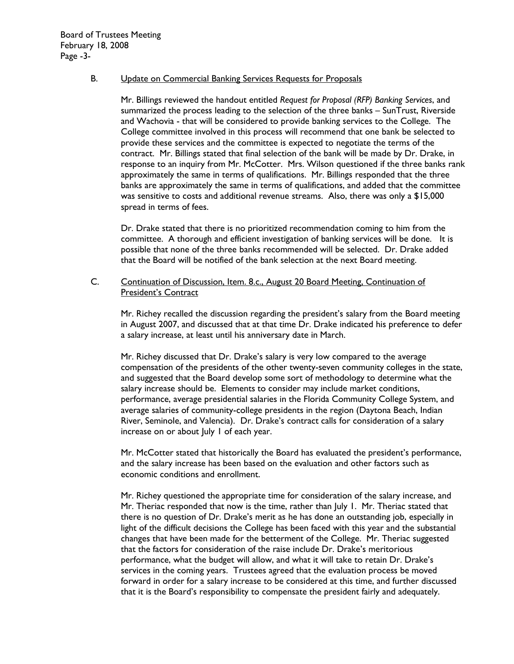### B. Update on Commercial Banking Services Requests for Proposals

Mr. Billings reviewed the handout entitled *Request for Proposal (RFP) Banking Services*, and summarized the process leading to the selection of the three banks – SunTrust, Riverside and Wachovia - that will be considered to provide banking services to the College. The College committee involved in this process will recommend that one bank be selected to provide these services and the committee is expected to negotiate the terms of the contract. Mr. Billings stated that final selection of the bank will be made by Dr. Drake, in response to an inquiry from Mr. McCotter. Mrs. Wilson questioned if the three banks rank approximately the same in terms of qualifications. Mr. Billings responded that the three banks are approximately the same in terms of qualifications, and added that the committee was sensitive to costs and additional revenue streams. Also, there was only a \$15,000 spread in terms of fees.

Dr. Drake stated that there is no prioritized recommendation coming to him from the committee. A thorough and efficient investigation of banking services will be done. It is possible that none of the three banks recommended will be selected. Dr. Drake added that the Board will be notified of the bank selection at the next Board meeting.

C. Continuation of Discussion, Item. 8.c., August 20 Board Meeting, Continuation of President's Contract

Mr. Richey recalled the discussion regarding the president's salary from the Board meeting in August 2007, and discussed that at that time Dr. Drake indicated his preference to defer a salary increase, at least until his anniversary date in March.

Mr. Richey discussed that Dr. Drake's salary is very low compared to the average compensation of the presidents of the other twenty-seven community colleges in the state, and suggested that the Board develop some sort of methodology to determine what the salary increase should be. Elements to consider may include market conditions, performance, average presidential salaries in the Florida Community College System, and average salaries of community-college presidents in the region (Daytona Beach, Indian River, Seminole, and Valencia). Dr. Drake's contract calls for consideration of a salary increase on or about July 1 of each year.

Mr. McCotter stated that historically the Board has evaluated the president's performance, and the salary increase has been based on the evaluation and other factors such as economic conditions and enrollment.

Mr. Richey questioned the appropriate time for consideration of the salary increase, and Mr. Theriac responded that now is the time, rather than July 1. Mr. Theriac stated that there is no question of Dr. Drake's merit as he has done an outstanding job, especially in light of the difficult decisions the College has been faced with this year and the substantial changes that have been made for the betterment of the College. Mr. Theriac suggested that the factors for consideration of the raise include Dr. Drake's meritorious performance, what the budget will allow, and what it will take to retain Dr. Drake's services in the coming years. Trustees agreed that the evaluation process be moved forward in order for a salary increase to be considered at this time, and further discussed that it is the Board's responsibility to compensate the president fairly and adequately.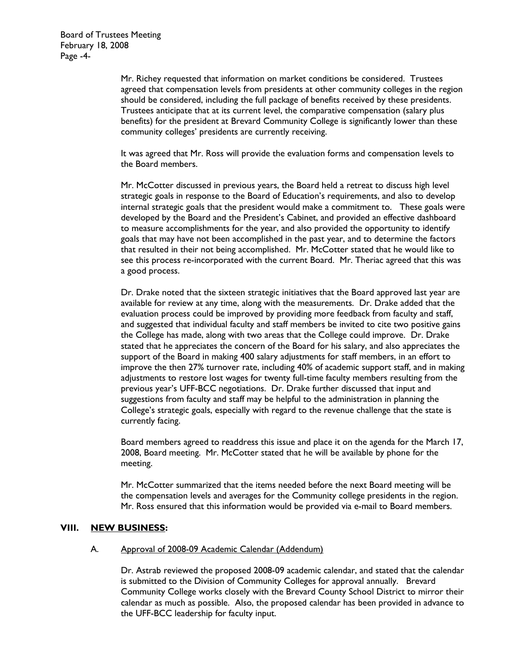Mr. Richey requested that information on market conditions be considered. Trustees agreed that compensation levels from presidents at other community colleges in the region should be considered, including the full package of benefits received by these presidents. Trustees anticipate that at its current level, the comparative compensation (salary plus benefits) for the president at Brevard Community College is significantly lower than these community colleges' presidents are currently receiving.

It was agreed that Mr. Ross will provide the evaluation forms and compensation levels to the Board members.

Mr. McCotter discussed in previous years, the Board held a retreat to discuss high level strategic goals in response to the Board of Education's requirements, and also to develop internal strategic goals that the president would make a commitment to. These goals were developed by the Board and the President's Cabinet, and provided an effective dashboard to measure accomplishments for the year, and also provided the opportunity to identify goals that may have not been accomplished in the past year, and to determine the factors that resulted in their not being accomplished. Mr. McCotter stated that he would like to see this process re-incorporated with the current Board. Mr. Theriac agreed that this was a good process.

Dr. Drake noted that the sixteen strategic initiatives that the Board approved last year are available for review at any time, along with the measurements. Dr. Drake added that the evaluation process could be improved by providing more feedback from faculty and staff, and suggested that individual faculty and staff members be invited to cite two positive gains the College has made, along with two areas that the College could improve. Dr. Drake stated that he appreciates the concern of the Board for his salary, and also appreciates the support of the Board in making 400 salary adjustments for staff members, in an effort to improve the then 27% turnover rate, including 40% of academic support staff, and in making adjustments to restore lost wages for twenty full-time faculty members resulting from the previous year's UFF-BCC negotiations. Dr. Drake further discussed that input and suggestions from faculty and staff may be helpful to the administration in planning the College's strategic goals, especially with regard to the revenue challenge that the state is currently facing.

Board members agreed to readdress this issue and place it on the agenda for the March 17, 2008, Board meeting. Mr. McCotter stated that he will be available by phone for the meeting.

Mr. McCotter summarized that the items needed before the next Board meeting will be the compensation levels and averages for the Community college presidents in the region. Mr. Ross ensured that this information would be provided via e-mail to Board members.

#### **VIII. NEW BUSINESS:**

#### A. Approval of 2008-09 Academic Calendar (Addendum)

Dr. Astrab reviewed the proposed 2008-09 academic calendar, and stated that the calendar is submitted to the Division of Community Colleges for approval annually. Brevard Community College works closely with the Brevard County School District to mirror their calendar as much as possible. Also, the proposed calendar has been provided in advance to the UFF-BCC leadership for faculty input.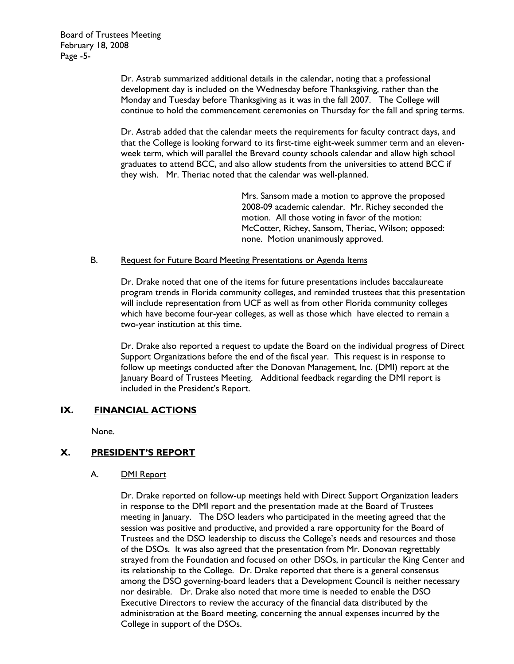Dr. Astrab summarized additional details in the calendar, noting that a professional development day is included on the Wednesday before Thanksgiving, rather than the Monday and Tuesday before Thanksgiving as it was in the fall 2007. The College will continue to hold the commencement ceremonies on Thursday for the fall and spring terms.

Dr. Astrab added that the calendar meets the requirements for faculty contract days, and that the College is looking forward to its first-time eight-week summer term and an elevenweek term, which will parallel the Brevard county schools calendar and allow high school graduates to attend BCC, and also allow students from the universities to attend BCC if they wish. Mr. Theriac noted that the calendar was well-planned.

> Mrs. Sansom made a motion to approve the proposed 2008-09 academic calendar. Mr. Richey seconded the motion. All those voting in favor of the motion: McCotter, Richey, Sansom, Theriac, Wilson; opposed: none. Motion unanimously approved.

### B. Request for Future Board Meeting Presentations or Agenda Items

Dr. Drake noted that one of the items for future presentations includes baccalaureate program trends in Florida community colleges, and reminded trustees that this presentation will include representation from UCF as well as from other Florida community colleges which have become four-year colleges, as well as those which have elected to remain a two-year institution at this time.

Dr. Drake also reported a request to update the Board on the individual progress of Direct Support Organizations before the end of the fiscal year. This request is in response to follow up meetings conducted after the Donovan Management, Inc. (DMI) report at the January Board of Trustees Meeting. Additional feedback regarding the DMI report is included in the President's Report.

#### **IX. FINANCIAL ACTIONS**

None.

# **X. PRESIDENT'S REPORT**

#### A. DMI Report

Dr. Drake reported on follow-up meetings held with Direct Support Organization leaders in response to the DMI report and the presentation made at the Board of Trustees meeting in January. The DSO leaders who participated in the meeting agreed that the session was positive and productive, and provided a rare opportunity for the Board of Trustees and the DSO leadership to discuss the College's needs and resources and those of the DSOs. It was also agreed that the presentation from Mr. Donovan regrettably strayed from the Foundation and focused on other DSOs, in particular the King Center and its relationship to the College. Dr. Drake reported that there is a general consensus among the DSO governing-board leaders that a Development Council is neither necessary nor desirable. Dr. Drake also noted that more time is needed to enable the DSO Executive Directors to review the accuracy of the financial data distributed by the administration at the Board meeting, concerning the annual expenses incurred by the College in support of the DSOs.